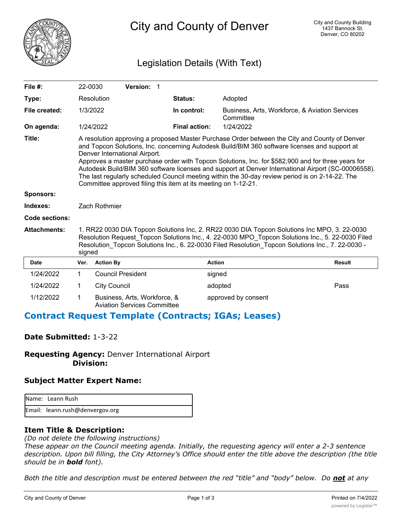

City and County of Denver

## Legislation Details (With Text)

| File $#$ :            | 22-0030                                                                                                                                                                                                                                                                                                                                                                                                                                                                                                                                                                                                           |                                                                                                                                                                                                                                                                                                                 | Version: 1                                                         |  |                      |                                                             |               |
|-----------------------|-------------------------------------------------------------------------------------------------------------------------------------------------------------------------------------------------------------------------------------------------------------------------------------------------------------------------------------------------------------------------------------------------------------------------------------------------------------------------------------------------------------------------------------------------------------------------------------------------------------------|-----------------------------------------------------------------------------------------------------------------------------------------------------------------------------------------------------------------------------------------------------------------------------------------------------------------|--------------------------------------------------------------------|--|----------------------|-------------------------------------------------------------|---------------|
| Type:                 |                                                                                                                                                                                                                                                                                                                                                                                                                                                                                                                                                                                                                   | Resolution                                                                                                                                                                                                                                                                                                      |                                                                    |  | Status:              | Adopted                                                     |               |
| File created:         | 1/3/2022                                                                                                                                                                                                                                                                                                                                                                                                                                                                                                                                                                                                          |                                                                                                                                                                                                                                                                                                                 |                                                                    |  | In control:          | Business, Arts, Workforce, & Aviation Services<br>Committee |               |
| On agenda:            |                                                                                                                                                                                                                                                                                                                                                                                                                                                                                                                                                                                                                   | 1/24/2022                                                                                                                                                                                                                                                                                                       |                                                                    |  | <b>Final action:</b> | 1/24/2022                                                   |               |
| Title:                | A resolution approving a proposed Master Purchase Order between the City and County of Denver<br>and Topcon Solutions, Inc. concerning Autodesk Build/BIM 360 software licenses and support at<br>Denver International Airport.<br>Approves a master purchase order with Topcon Solutions, Inc. for \$582,900 and for three years for<br>Autodesk Build/BIM 360 software licenses and support at Denver International Airport (SC-00006558).<br>The last regularly scheduled Council meeting within the 30-day review period is on 2-14-22. The<br>Committee approved filing this item at its meeting on 1-12-21. |                                                                                                                                                                                                                                                                                                                 |                                                                    |  |                      |                                                             |               |
| <b>Sponsors:</b>      |                                                                                                                                                                                                                                                                                                                                                                                                                                                                                                                                                                                                                   |                                                                                                                                                                                                                                                                                                                 |                                                                    |  |                      |                                                             |               |
| Indexes:              | Zach Rothmier                                                                                                                                                                                                                                                                                                                                                                                                                                                                                                                                                                                                     |                                                                                                                                                                                                                                                                                                                 |                                                                    |  |                      |                                                             |               |
| <b>Code sections:</b> |                                                                                                                                                                                                                                                                                                                                                                                                                                                                                                                                                                                                                   |                                                                                                                                                                                                                                                                                                                 |                                                                    |  |                      |                                                             |               |
| <b>Attachments:</b>   |                                                                                                                                                                                                                                                                                                                                                                                                                                                                                                                                                                                                                   | 1. RR22 0030 DIA Topcon Solutions Inc, 2. RR22 0030 DIA Topcon Solutions Inc MPO, 3. 22-0030<br>Resolution Request Topcon Solutions Inc., 4. 22-0030 MPO Topcon Solutions Inc., 5. 22-0030 Filed<br>Resolution Topcon Solutions Inc., 6. 22-0030 Filed Resolution Topcon Solutions Inc., 7. 22-0030 -<br>signed |                                                                    |  |                      |                                                             |               |
| <b>Date</b>           | Ver.                                                                                                                                                                                                                                                                                                                                                                                                                                                                                                                                                                                                              | <b>Action By</b>                                                                                                                                                                                                                                                                                                |                                                                    |  |                      | <b>Action</b>                                               | <b>Result</b> |
| 1/24/2022             | 1                                                                                                                                                                                                                                                                                                                                                                                                                                                                                                                                                                                                                 | <b>Council President</b>                                                                                                                                                                                                                                                                                        |                                                                    |  |                      | signed                                                      |               |
| 1/24/2022             | 1                                                                                                                                                                                                                                                                                                                                                                                                                                                                                                                                                                                                                 | <b>City Council</b>                                                                                                                                                                                                                                                                                             |                                                                    |  |                      | adopted                                                     | Pass          |
| 1/12/2022             | 1                                                                                                                                                                                                                                                                                                                                                                                                                                                                                                                                                                                                                 |                                                                                                                                                                                                                                                                                                                 | Business, Arts, Workforce, &<br><b>Aviation Services Committee</b> |  |                      | approved by consent                                         |               |

## **Contract Request Template (Contracts; IGAs; Leases)**

## **Date Submitted:** 1-3-22

**Requesting Agency:** Denver International Airport  **Division:**

## **Subject Matter Expert Name:**

| <b>I</b> Name: Leann Rush       |
|---------------------------------|
| Email: leann.rush@denvergov.org |

## **Item Title & Description:**

*(Do not delete the following instructions)*

*These appear on the Council meeting agenda. Initially, the requesting agency will enter a 2-3 sentence description. Upon bill filling, the City Attorney's Office should enter the title above the description (the title should be in bold font).*

*Both the title and description must be entered between the red "title" and "body" below. Do not at any*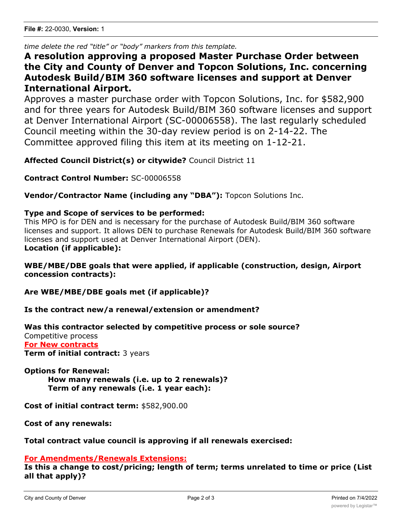*time delete the red "title" or "body" markers from this template.*

# **A resolution approving a proposed Master Purchase Order between the City and County of Denver and Topcon Solutions, Inc. concerning Autodesk Build/BIM 360 software licenses and support at Denver International Airport.**

Approves a master purchase order with Topcon Solutions, Inc. for \$582,900 and for three years for Autodesk Build/BIM 360 software licenses and support at Denver International Airport (SC-00006558). The last regularly scheduled Council meeting within the 30-day review period is on 2-14-22. The Committee approved filing this item at its meeting on 1-12-21.

**Affected Council District(s) or citywide?** Council District 11

**Contract Control Number:** SC-00006558

**Vendor/Contractor Name (including any "DBA"):** Topcon Solutions Inc.

## **Type and Scope of services to be performed:**

This MPO is for DEN and is necessary for the purchase of Autodesk Build/BIM 360 software licenses and support. It allows DEN to purchase Renewals for Autodesk Build/BIM 360 software licenses and support used at Denver International Airport (DEN). **Location (if applicable):**

## **WBE/MBE/DBE goals that were applied, if applicable (construction, design, Airport concession contracts):**

**Are WBE/MBE/DBE goals met (if applicable)?**

**Is the contract new/a renewal/extension or amendment?**

## **Was this contractor selected by competitive process or sole source?**

Competitive process **For New contracts Term of initial contract:** 3 years

## **Options for Renewal:**

**How many renewals (i.e. up to 2 renewals)? Term of any renewals (i.e. 1 year each):**

**Cost of initial contract term:** \$582,900.00

**Cost of any renewals:**

## **Total contract value council is approving if all renewals exercised:**

## **For Amendments/Renewals Extensions:**

**Is this a change to cost/pricing; length of term; terms unrelated to time or price (List all that apply)?**